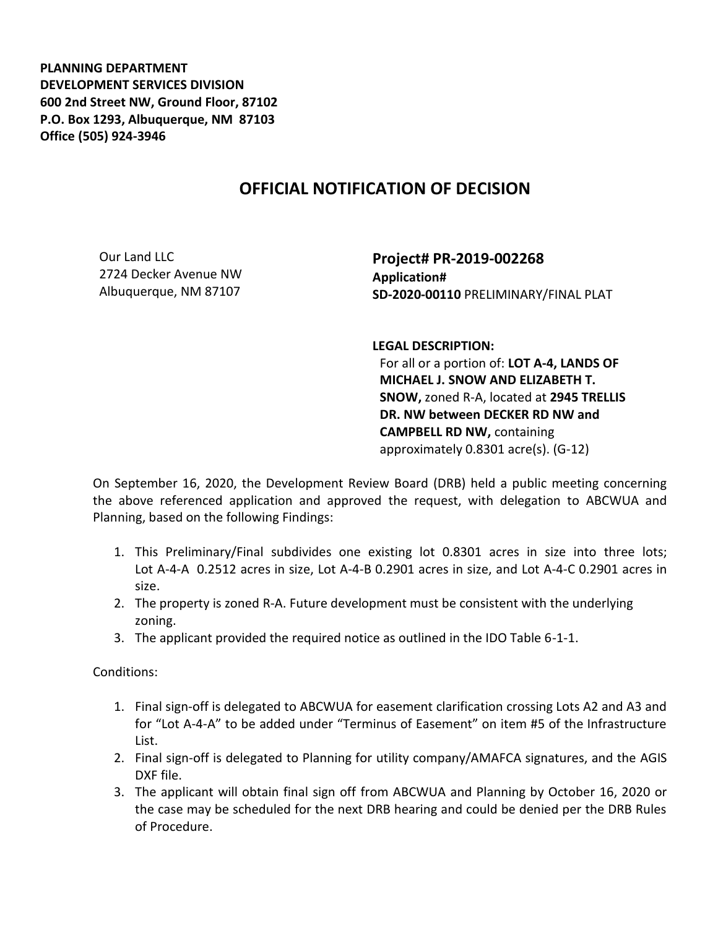**PLANNING DEPARTMENT DEVELOPMENT SERVICES DIVISION 600 2nd Street NW, Ground Floor, 87102 P.O. Box 1293, Albuquerque, NM 87103 Office (505) 924-3946** 

## **OFFICIAL NOTIFICATION OF DECISION**

Our Land LLC 2724 Decker Avenue NW Albuquerque, NM 87107

**Project# PR-2019-002268 Application# SD-2020-00110** PRELIMINARY/FINAL PLAT

**LEGAL DESCRIPTION:**

For all or a portion of: **LOT A-4, LANDS OF MICHAEL J. SNOW AND ELIZABETH T. SNOW,** zoned R-A, located at **2945 TRELLIS DR. NW between DECKER RD NW and CAMPBELL RD NW,** containing approximately 0.8301 acre(s). (G-12)

On September 16, 2020, the Development Review Board (DRB) held a public meeting concerning the above referenced application and approved the request, with delegation to ABCWUA and Planning, based on the following Findings:

- 1. This Preliminary/Final subdivides one existing lot 0.8301 acres in size into three lots; Lot A-4-A 0.2512 acres in size, Lot A-4-B 0.2901 acres in size, and Lot A-4-C 0.2901 acres in size.
- 2. The property is zoned R-A. Future development must be consistent with the underlying zoning.
- 3. The applicant provided the required notice as outlined in the IDO Table 6-1-1.

Conditions:

- 1. Final sign-off is delegated to ABCWUA for easement clarification crossing Lots A2 and A3 and for "Lot A-4-A" to be added under "Terminus of Easement" on item #5 of the Infrastructure List.
- 2. Final sign-off is delegated to Planning for utility company/AMAFCA signatures, and the AGIS DXF file.
- 3. The applicant will obtain final sign off from ABCWUA and Planning by October 16, 2020 or the case may be scheduled for the next DRB hearing and could be denied per the DRB Rules of Procedure.